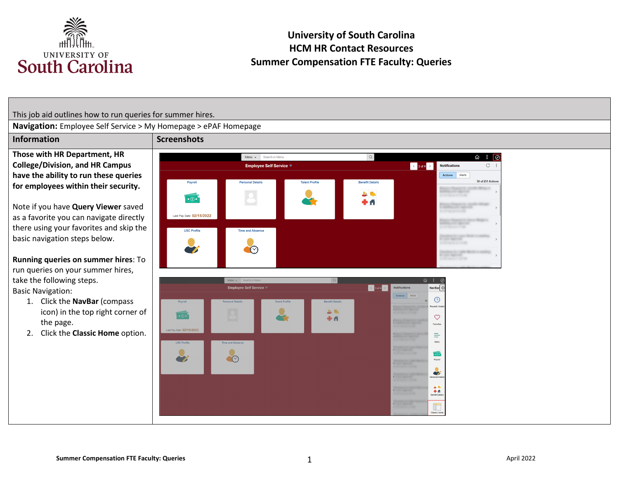

This job aid outlines how to run queries for summer hires.

**Navigation:** Employee Self Service > My Homepage > ePAF Homepage

**Those with HR Department, HR College/Division, and HR Campus have the ability to run these queries for employees within their security.** 

Note if you have **Query Viewer** saved as a favorite you can navigate directly there using your favorites and skip the basic navigation steps below.

**Running queries on summer hires**: To run queries on your summer hires, take the following steps. Basic Navigation:

- 1. Click the **NavBar** (compass icon) in the top right corner of the page.
- 2. Click the **Classic Home** option.



盯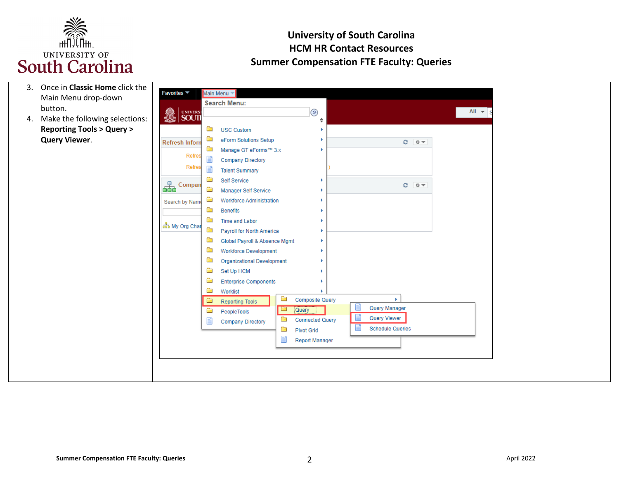

| 3. | Once in Classic Home click the         |                        |   |                                   |   |                                 |  |                         |  |                   |  |
|----|----------------------------------------|------------------------|---|-----------------------------------|---|---------------------------------|--|-------------------------|--|-------------------|--|
|    | Main Menu drop-down                    | <b>Favorites ▼</b>     |   | Main Menu <sup>*</sup>            |   |                                 |  |                         |  |                   |  |
|    | button.                                |                        |   | <b>Search Menu:</b>               |   |                                 |  |                         |  | All $\rightarrow$ |  |
| 4. | Make the following selections:         | SOUTH                  |   |                                   |   | $\circledcirc$<br>$\Rightarrow$ |  |                         |  |                   |  |
|    | <b>Reporting Tools &gt; Query &gt;</b> |                        | Ō | <b>USC Custom</b>                 |   |                                 |  |                         |  |                   |  |
|    | <b>Query Viewer.</b>                   | <b>Refresh Inforn</b>  | Ò | eForm Solutions Setup             |   |                                 |  | $C = 0 -$               |  |                   |  |
|    |                                        |                        | Ò | Manage GT eForms™ 3.x             |   |                                 |  |                         |  |                   |  |
|    |                                        | Refres                 |   | <b>Company Directory</b>          |   |                                 |  |                         |  |                   |  |
|    |                                        | Refres                 |   | <b>Talent Summary</b>             |   |                                 |  |                         |  |                   |  |
|    |                                        |                        | Ò | Self Service                      |   |                                 |  |                         |  |                   |  |
|    |                                        | <b>Compan</b>          | Ò | <b>Manager Self Service</b>       |   |                                 |  | $0 - 0 -$               |  |                   |  |
|    |                                        | Search by Name         | Ō | <b>Workforce Administration</b>   |   |                                 |  |                         |  |                   |  |
|    |                                        |                        | œ | <b>Benefits</b>                   |   |                                 |  |                         |  |                   |  |
|    |                                        |                        | Ò | <b>Time and Labor</b>             |   |                                 |  |                         |  |                   |  |
|    |                                        | <b>အီး</b> My Org Char | Ò | Payroll for North America         |   |                                 |  |                         |  |                   |  |
|    |                                        |                        | Ò | Global Payroll & Absence Mgmt     |   |                                 |  |                         |  |                   |  |
|    |                                        |                        | Ò | <b>Workforce Development</b>      |   |                                 |  |                         |  |                   |  |
|    |                                        |                        | Ò | <b>Organizational Development</b> |   |                                 |  |                         |  |                   |  |
|    |                                        |                        | Ò | Set Up HCM                        |   |                                 |  |                         |  |                   |  |
|    |                                        |                        | Ò | <b>Enterprise Components</b>      |   |                                 |  |                         |  |                   |  |
|    |                                        |                        | ō | Worklist                          |   |                                 |  |                         |  |                   |  |
|    |                                        |                        | ▭ | <b>Reporting Tools</b>            | ō | <b>Composite Query</b>          |  | $\mathbf{K}$            |  |                   |  |
|    |                                        |                        | œ | PeopleTools                       | a | Query                           |  | Query Manager           |  |                   |  |
|    |                                        |                        |   | <b>Company Directory</b>          | ▭ | <b>Connected Query</b>          |  | Query Viewer            |  |                   |  |
|    |                                        |                        |   |                                   | Ò | <b>Pivot Grid</b>               |  | <b>Schedule Queries</b> |  |                   |  |
|    |                                        |                        |   |                                   |   | <b>Report Manager</b>           |  |                         |  |                   |  |
|    |                                        |                        |   |                                   |   |                                 |  |                         |  |                   |  |
|    |                                        |                        |   |                                   |   |                                 |  |                         |  |                   |  |
|    |                                        |                        |   |                                   |   |                                 |  |                         |  |                   |  |
|    |                                        |                        |   |                                   |   |                                 |  |                         |  |                   |  |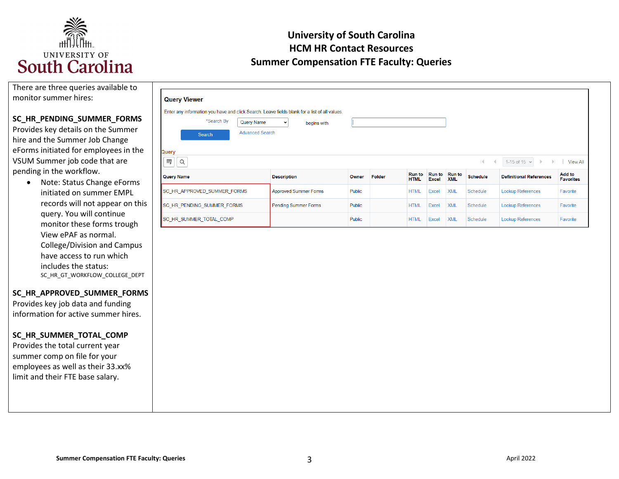

| There are three queries available to |
|--------------------------------------|
| monitor summer hires:                |

#### **SC\_HR\_PENDING\_SUMMER\_FORMS**

 Provides key details on the Summer hire and the Summer Job Change VSUM Summer job code that are eForms initiated for employees in the pending in the workflow.

 records will not appear on this query. You will continue includes the status: • Note: Status Change eForms initiated on summer EMPL monitor these forms trough View ePAF as normal. College/Division and Campus have access to run which SC\_HR\_GT\_WORKFLOW\_COLLEGE\_DEPT

#### **SC\_HR\_APPROVED\_SUMMER\_FORMS**

Provides key job data and funding information for active summer hires.

#### **SC\_HR\_SUMMER\_TOTAL\_COMP**

 employees as well as their 33.xx% Provides the total current year summer comp on file for your limit and their FTE base salary.

| <b>Query Viewer</b>                                                                           |                        |                              |               |        |                              |                               |                             |                 |                                         |                            |
|-----------------------------------------------------------------------------------------------|------------------------|------------------------------|---------------|--------|------------------------------|-------------------------------|-----------------------------|-----------------|-----------------------------------------|----------------------------|
| Enter any information you have and click Search. Leave fields blank for a list of all values. |                        |                              |               |        |                              |                               |                             |                 |                                         |                            |
| *Search By                                                                                    | Query Name             | $\check{~}$<br>begins with   |               |        |                              |                               |                             |                 |                                         |                            |
| Search                                                                                        | <b>Advanced Search</b> |                              |               |        |                              |                               |                             |                 |                                         |                            |
| Query                                                                                         |                        |                              |               |        |                              |                               |                             |                 |                                         |                            |
| 野<br>Q                                                                                        |                        |                              |               |        |                              |                               |                             | K.<br>- 4       | 1-15 of 15 $\sim$<br>$\mathbb{R}$<br>ъ. | <b>View All</b>            |
| <b>Query Name</b>                                                                             |                        | <b>Description</b>           | Owner         | Folder | <b>Run to</b><br><b>HTML</b> | <b>Run to</b><br><b>Excel</b> | <b>Run</b> to<br><b>XML</b> | <b>Schedule</b> | <b>Definitional References</b>          | Add to<br><b>Favorites</b> |
| SC HR APPROVED SUMMER FORMS                                                                   |                        | <b>Approved Summer Forms</b> | Public        |        | <b>HTML</b>                  | <b>Excel</b>                  | <b>XML</b>                  | Schedule        | <b>Lookup References</b>                | Favorite                   |
| <b>SC HR PENDING SUMMER FORMS</b>                                                             |                        | <b>Pending Summer Forms</b>  | Public        |        | <b>HTML</b>                  | <b>Excel</b>                  | <b>XML</b>                  | Schedule        | <b>Lookup References</b>                | Favorite                   |
| <b>SC HR SUMMER TOTAL COMP</b>                                                                |                        |                              | <b>Public</b> |        | <b>HTML</b>                  | Excel                         | <b>XML</b>                  | Schedule        | <b>Lookup References</b>                | Favorite                   |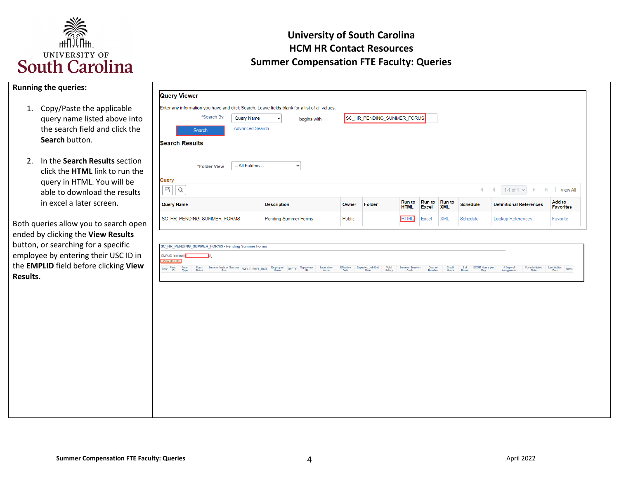

|  |  | <b>Running the queries:</b> |
|--|--|-----------------------------|
|--|--|-----------------------------|

- the search field and click the 1. Copy/Paste the applicable query name listed above into **Search** button.
- click the **HTML** link to run the query in HTML. You will be able to download the results 2. In the **Search Results** section in excel a later screen.

 Both queries allow you to search open ended by clicking the **View Results**  button, or searching for a specific employee by entering their USC ID in the **EMPLID** field before clicking **View Results.** 

| *Search By                        | <b>Query Name</b>      | $\checkmark$       | begins with |       | SC_HR_PENDING_SUMMER_FORMS |                              |                               |                             |                 |                                                             |                            |
|-----------------------------------|------------------------|--------------------|-------------|-------|----------------------------|------------------------------|-------------------------------|-----------------------------|-----------------|-------------------------------------------------------------|----------------------------|
| Search                            | <b>Advanced Search</b> |                    |             |       |                            |                              |                               |                             |                 |                                                             |                            |
| <b>Search Results</b>             |                        |                    |             |       |                            |                              |                               |                             |                 |                                                             |                            |
|                                   |                        |                    |             |       |                            |                              |                               |                             |                 |                                                             |                            |
| *Folder View                      | -- All Folders --      |                    | $\check{ }$ |       |                            |                              |                               |                             |                 |                                                             |                            |
| Q                                 |                        |                    |             |       |                            |                              |                               |                             | K.              | 1-1 of 1 $\vee$<br>$\mathbb{R}$<br>$\rightarrow$<br>$\lnot$ | <b>View All</b>            |
| Query<br>⊞  <br><b>Query Name</b> |                        | <b>Description</b> |             | Owner | Folder                     | <b>Run to</b><br><b>HTML</b> | <b>Run to</b><br><b>Excel</b> | <b>Run to</b><br><b>XML</b> | <b>Schedule</b> | <b>Definitional References</b>                              | Add to<br><b>Favorites</b> |

|                                          |  | SC_HR_PENDING_SUMMER_FORMS - Pending Summer Forms                                                                                                                               |  |  |  |  |                  |                           |                              |                         |                                    |      |  |
|------------------------------------------|--|---------------------------------------------------------------------------------------------------------------------------------------------------------------------------------|--|--|--|--|------------------|---------------------------|------------------------------|-------------------------|------------------------------------|------|--|
| <b>EMPLID</b> (optional)<br>View Results |  |                                                                                                                                                                                 |  |  |  |  |                  |                           |                              |                         |                                    |      |  |
|                                          |  | Row Form Form Summer Instruction Summer PMPLID EMPL_RCD Rimployee DEPTID Supervisor Supervisor Effective Expected Job End Summer Session Code<br>The Name Date Date Status Code |  |  |  |  | Course<br>Number | Credit Std<br>Hours Hours | <b>ECOM Hours per</b><br>Day | # Days of<br>Assignment | Form Initiated Last Action<br>Date | Date |  |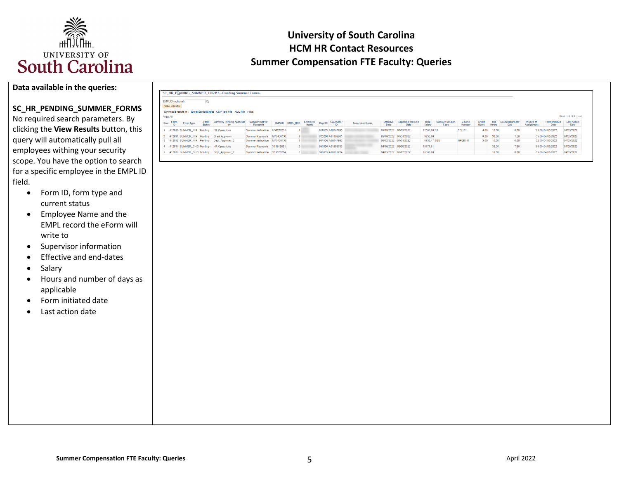

#### **Data available in the queries:**

### **SC\_HR\_PENDING\_SUMMER\_FORMS**

 clicking the **View Results** button, this scope. You have the option to search No required search parameters. By query will automatically pull all employees withing your security for a specific employee in the EMPL ID field.

- Form ID, form type and current status
- • Employee Name and the EMPL record the eForm will write to
- Supervisor information
- Effective and end-dates
- Salary
- • Hours and number of days as applicable
- Form initiated date
- Last action date

|          |                                   |           |               | SC HR PLANDING SUMMER FORMS - Pending Summer Forms                   |                              |           |                 |                         |         |                  |                        |                          |                                 |                        |                               |                  |                        |              |                              |                        |                        |                                   |
|----------|-----------------------------------|-----------|---------------|----------------------------------------------------------------------|------------------------------|-----------|-----------------|-------------------------|---------|------------------|------------------------|--------------------------|---------------------------------|------------------------|-------------------------------|------------------|------------------------|--------------|------------------------------|------------------------|------------------------|-----------------------------------|
|          | EMPLID (optional)<br>View Results |           |               |                                                                      |                              |           |                 |                         |         |                  |                        |                          |                                 |                        |                               |                  |                        |              |                              |                        |                        |                                   |
|          |                                   |           |               | Download results in: Excel SpreadSheet CSV Text File XML File (4 kb) |                              |           |                 |                         |         |                  |                        |                          |                                 |                        |                               |                  |                        |              |                              |                        |                        |                                   |
| View All |                                   |           |               |                                                                      |                              |           |                 |                         |         |                  |                        |                          |                                 |                        |                               |                  |                        |              |                              |                        |                        | First 1-5 of 5 Last               |
| Row      | Form<br>ID                        | Form Type | <b>Status</b> | Form Currently Pending Approval                                      | Summer Instr or<br>Research  |           | EMPLID EMPL_RCD | Employee<br><b>Name</b> | Dept ID | Supervisor       | <b>Supervisor Name</b> | <b>Effective</b><br>Date | <b>Expected Job End</b><br>Date | <b>Total</b><br>Salary | <b>Summer Session</b><br>Code | Course<br>Number | Credit<br><b>Hours</b> | Std<br>Hours | <b>ECOM Hours per</b><br>Day | #Days of<br>Assignment | Form Initiated<br>Date | <b>Last Action</b><br><b>Date</b> |
|          |                                   |           |               | 412030 SUMMER HIR Pending HR Operations                              | Summer Instruction           | U39237035 |                 |                         |         | 911035 A00247998 |                        | 05/09/2022 08/03/2022    |                                 | 12000.00 10            |                               | <b>SCI101</b>    | 4.00                   | 13.00        | 0.00                         |                        | 63.00 04/05/2022       | 04/05/2022                        |
|          |                                   |           |               | 412031 SUMMER HIR Pending Grant Approver                             | Summer Research              | M70430138 |                 |                         |         | 925200 A01099961 |                        | 05/16/2022 07/31/2022    |                                 | 9250.00                |                               |                  | 0.00                   | 38.00        | 7.50                         |                        | 55.00 04/05/2022       | 04/05/2022                        |
|          |                                   |           |               | 412032 SUMMER HIR Pending Dept Approver 2                            | Summer Instruction M70430138 |           |                 |                         |         | 981036 A00247998 |                        | 06/02/2022 07/01/2022    |                                 | 6155.47 8SB            |                               | HPEB101          | 3.00                   | 10.00        | 0.00                         |                        | 22.00 04/05/2022       | 04/05/2022                        |
|          |                                   |           |               | 412034 SUMMER CHG Pending HR Operations                              | Summer Research              | X04615081 |                 |                         |         | 951000 A01689788 |                        | 04/16/2022 06/30/2022    |                                 | 18777.61               |                               |                  |                        | 38.00        | 7.60                         |                        | 63.00 04/05/2022       | 04/05/2022                        |
|          |                                   |           |               | 412036 SUMMER_CHG Pending Dept_Approver_2<br>Summer Instruction      |                              | S93573284 |                 |                         |         | 981035 A00215224 |                        | 04/05/2022 06/17/2022    |                                 | 10000.00               |                               |                  |                        | 10.00        | 0.00                         |                        | 55.00 04/05/2022       | 04/05/2022                        |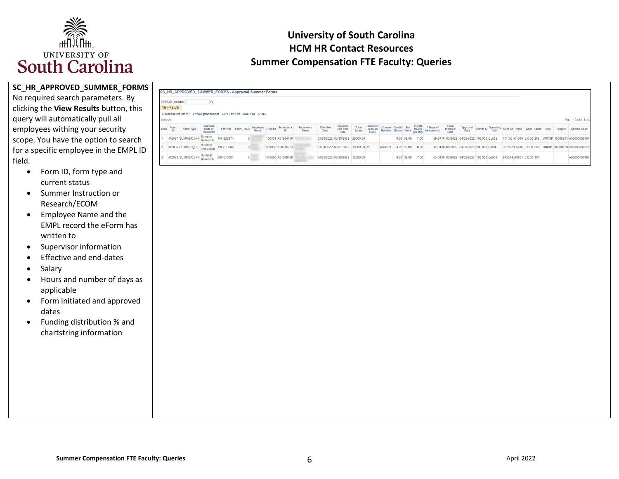

 clicking the **View Results** button, this scope. You have the option to search **SC\_HR\_APPROVED\_SUMMER\_FORMS**  No required search parameters. By query will automatically pull all employees withing your security for a specific employee in the EMPL ID field.

- • Form ID, form type and current status
- Summer Instruction or Research/ECOM
- • Employee Name and the EMPL record the eForm has written to
- Supervisor information
- Effective and end-dates
- **Salary**
- • Hours and number of days as applicable
- Form initiated and approved dates
- Funding distribution % and chartstring information

# **University of South Carolina HCM HR Contact Resources Summer Compensation FTE Faculty: Queries**

|          | EMPLID (optional)<br><b>View Results</b> |                                                                      |                                |                                             |                |  |                  |                    |                                   |                                |                 |                           |        |  |                 |                                                                                                        |                                                                  |  |  |  |  |                                                    |
|----------|------------------------------------------|----------------------------------------------------------------------|--------------------------------|---------------------------------------------|----------------|--|------------------|--------------------|-----------------------------------|--------------------------------|-----------------|---------------------------|--------|--|-----------------|--------------------------------------------------------------------------------------------------------|------------------------------------------------------------------|--|--|--|--|----------------------------------------------------|
| View All |                                          | Download results in: Excel SpreadSheet CSV Text File XML File (2 kb) |                                |                                             |                |  |                  |                    |                                   |                                |                 |                           |        |  |                 |                                                                                                        |                                                                  |  |  |  |  | First 1-3 of 3 Last                                |
| Row      | Form                                     | Form Type                                                            | Summer<br>Instr or<br>Research | EMPLID EMPL_RCD Employee Dept ID Supervisor |                |  |                  | Supervisor<br>Name | Effective<br>Date                 | Expected<br>Job End<br>Date    | Total<br>Salary | Summer<br>Session<br>Code |        |  |                 | Form<br>Initiated<br>Date<br>Course Credit Std ECOM # Days of<br>Number Hours Hours per Day Assignment | Approval Distrb % Operating Dept ID Fund Acct Class Unit Project |  |  |  |  | Combo Code                                         |
|          |                                          | 412037 SUMMER_HIR Summer                                             |                                | P44328874                                   | $\Omega$       |  | 100301 A01984700 |                    |                                   | 03/28/2022 06/30/2022 29000.00 |                 |                           |        |  | 0.00 38.00 7.50 | 69.00 04/05/2022 04/05/2022 100.000 CL032                                                              |                                                                  |  |  |  |  | 111100 F1000 51300 202 USCSP 10008391 A00000005004 |
|          |                                          |                                                                      |                                |                                             |                |  |                  |                    | 04/04/2022 05/31/2022 10000.00 Z1 |                                |                 |                           | XXX101 |  | 3.00 10.00 0.00 | 42.00 04/05/2022 04/05/2022 100.000 SA000                                                              |                                                                  |  |  |  |  | 957822 EN600 51300 202 USCIP 80000470 A00000007918 |
|          |                                          | 412035 SUMMER_HIR Summer                                             |                                | S93573284                                   | $\overline{0}$ |  | 981035 A00215224 |                    |                                   |                                |                 |                           |        |  |                 |                                                                                                        |                                                                  |  |  |  |  |                                                    |